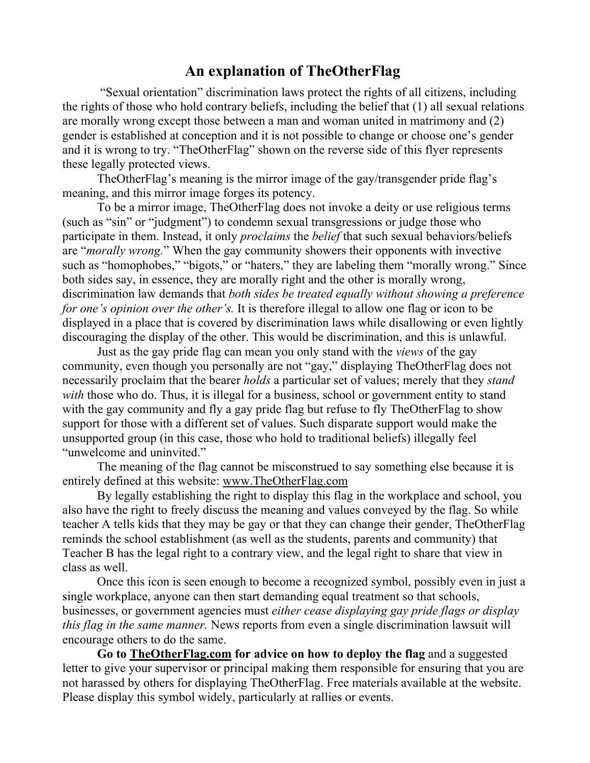## **An explanation of TheOtherFlag**

"Sexual orientation" discrimination laws protect the rights of all citizens, including the rights of those who hold contrary beliefs, including the belief that (1) all sexual relations are morally wrong except those between a man and woman united in matrimony and (2) gender is established at conception and it is not possible to change or choose one's gender and it is wrong to try. "TheOtherFlag" shown on the reverse side of this flyer represents these legally protected views.

TheOtherFlag's meaning is the mirror image of the gay/transgender pride flag's meaning, and this mirror image forges its potency.

To be a mirror image, TheOtherFlag does not invoke a deity or use religious terms (such as "sin" or "judgment") to condemn sexual transgressions or judge those who participate in them. Instead, it only *proclaims* the *belief* that such sexual behaviors/beliefs are "*morally wrong.*" When the gay community showers their opponents with invective such as "homophobes," "bigots," or "haters," they are labeling them "morally wrong." Since both sides say, in essence, they are morally right and the other is morally wrong, discrimination law demands that *both sides be treated equally without showing a preference for one's opinion over the other's.* It is therefore illegal to allow one flag or icon to be displayed in a place that is covered by discrimination laws while disallowing or even lightly discouraging the display of the other. This would be discrimination, and this is unlawful.

Just as the gay pride flag can mean you only stand with the *views* of the gay community, even though you personally are not "gay," displaying TheOtherFlag does not necessarily proclaim that the bearer *holds* a particular set of values; merely that they *stand with* those who do. Thus, it is illegal for a business, school or government entity to stand with the gay community and fly a gay pride flag but refuse to fly TheOtherFlag to show support for those with a different set of values. Such disparate support would make the unsupported group (in this case, those who hold to traditional beliefs) illegally feel "unwelcome and uninvited."

The meaning of the flag cannot be misconstrued to say something else because it is entirely defined at this website: www.TheOtherFlag.com

By legally establishing the right to display this flag in the workplace and school, you also have the right to freely discuss the meaning and values conveyed by the flag. So while teacher A tells kids that they may be gay or that they can change their gender, TheOtherFlag reminds the school establishment (as well as the students, parents and community) that Teacher B has the legal right to a contrary view, and the legal right to share that view in class as well.

Once this icon is seen enough to become a recognized symbol, possibly even in just a single workplace, anyone can then start demanding equal treatment so that schools, businesses, or government agencies must *either cease displaying gay pride flags or display this flag in the same manner.* News reports from even a single discrimination lawsuit will encourage others to do the same.

**Go to TheOtherFlag.com for advice on how to deploy the flag** and a suggested letter to give your supervisor or principal making them responsible for ensuring that you are not harassed by others for displaying TheOtherFlag. Free materials available at the website. Please display this symbol widely, particularly at rallies or events.